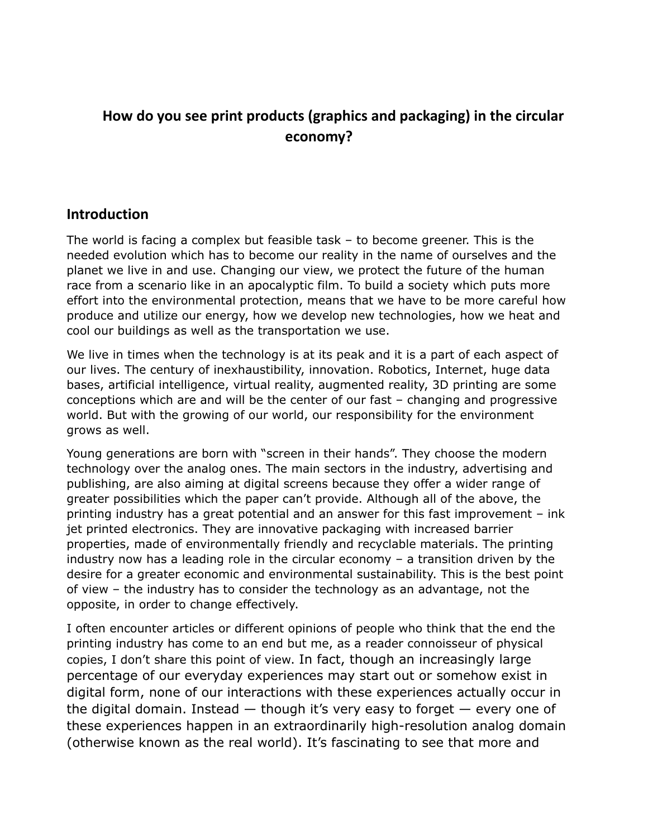# **How do you see print products (graphics and packaging) in the circular economy?**

### **Introduction**

The world is facing a complex but feasible task – to become greener. This is the needed evolution which has to become our reality in the name of ourselves and the planet we live in and use. Changing our view, we protect the future of the human race from a scenario like in an apocalyptic film. To build a society which puts more effort into the environmental protection, means that we have to be more careful how produce and utilize our energy, how we develop new technologies, how we heat and cool our buildings as well as the transportation we use.

We live in times when the technology is at its peak and it is a part of each aspect of our lives. The century of inexhaustibility, innovation. Robotics, Internet, huge data bases, artificial intelligence, virtual reality, augmented reality, 3D printing are some conceptions which are and will be the center of our fast – changing and progressive world. But with the growing of our world, our responsibility for the environment grows as well.

Young generations are born with "screen in their hands". They choose the modern technology over the analog ones. The main sectors in the industry, advertising and publishing, are also aiming at digital screens because they offer a wider range of greater possibilities which the paper can't provide. Although all of the above, the printing industry has a great potential and an answer for this fast improvement – ink jet printed electronics. They are innovative packaging with increased barrier properties, made of environmentally friendly and recyclable materials. The printing industry now has a leading role in the circular economy – a transition driven by the desire for a greater economic and environmental sustainability. This is the best point of view – the industry has to consider the technology as an advantage, not the opposite, in order to change effectively.

I often encounter articles or different opinions of people who think that the end the printing industry has come to an end but me, as a reader connoisseur of physical copies, I don't share this point of view. In fact, though an increasingly large percentage of our everyday experiences may start out or somehow exist in digital form, none of our interactions with these experiences actually occur in the digital domain. Instead  $-$  though it's very easy to forget  $-$  every one of these experiences happen in an extraordinarily high-resolution analog domain (otherwise known as the real world). It's fascinating to see that more and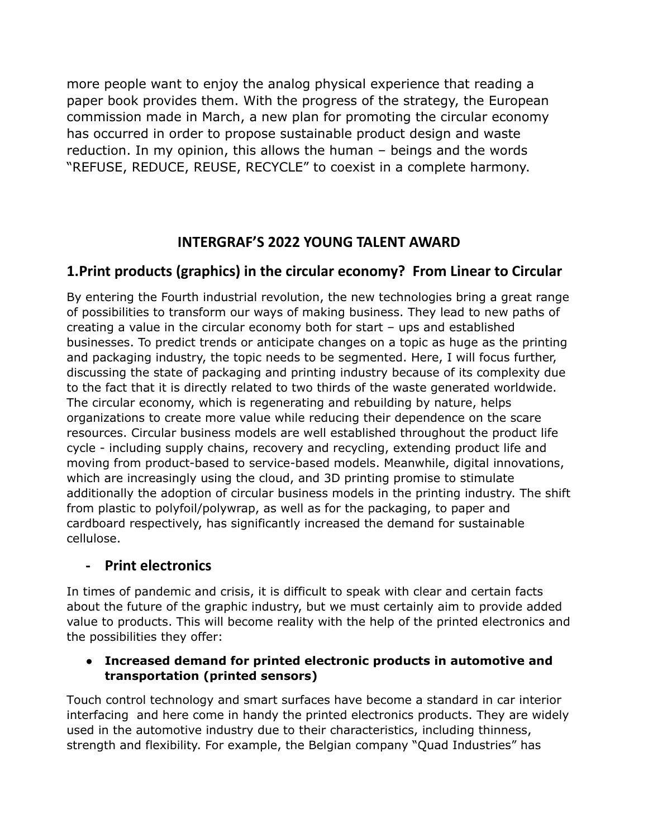more people want to enjoy the analog physical experience that reading a paper book provides them. With the progress of the strategy, the European commission made in March, a new plan for promoting the circular economy has occurred in order to propose sustainable product design and waste reduction. In my opinion, this allows the human – beings and the words "REFUSE, REDUCE, REUSE, RECYCLE" to coexist in a complete harmony.

## **INTERGRAF'S 2022 YOUNG TALENT AWARD**

## **1.Print products (graphics) in the circular economy? From Linear to Circular**

By entering the Fourth industrial revolution, the new technologies bring a great range of possibilities to transform our ways of making business. They lead to new paths of creating a value in the circular economy both for start – ups and established businesses. To predict trends or anticipate changes on a topic as huge as the printing and packaging industry, the topic needs to be segmented. Here, I will focus further, discussing the state of packaging and printing industry because of its complexity due to the fact that it is directly related to two thirds of the waste generated worldwide. The circular economy, which is regenerating and rebuilding by nature, helps organizations to create more value while reducing their dependence on the scare resources. Circular business models are well established throughout the product life cycle - including supply chains, recovery and recycling, extending product life and moving from product-based to service-based models. Meanwhile, digital innovations, which are increasingly using the cloud, and 3D printing promise to stimulate additionally the adoption of circular business models in the printing industry. The shift from plastic to polyfoil/polywrap, as well as for the packaging, to paper and cardboard respectively, has significantly increased the demand for sustainable cellulose.

### **- Print electronics**

In times of pandemic and crisis, it is difficult to speak with clear and certain facts about the future of the graphic industry, but we must certainly aim to provide added value to products. This will become reality with the help of the printed electronics and the possibilities they offer:

#### **● Increased demand for printed electronic products in automotive and transportation (printed sensors)**

Тouch control technology and smart surfaces have become a standard in car interior interfacing and here come in handy the printed electronics products. They are widely used in the automotive industry due to their characteristics, including thinness, strength and flexibility. For example, the Belgian company "Quad Industries" has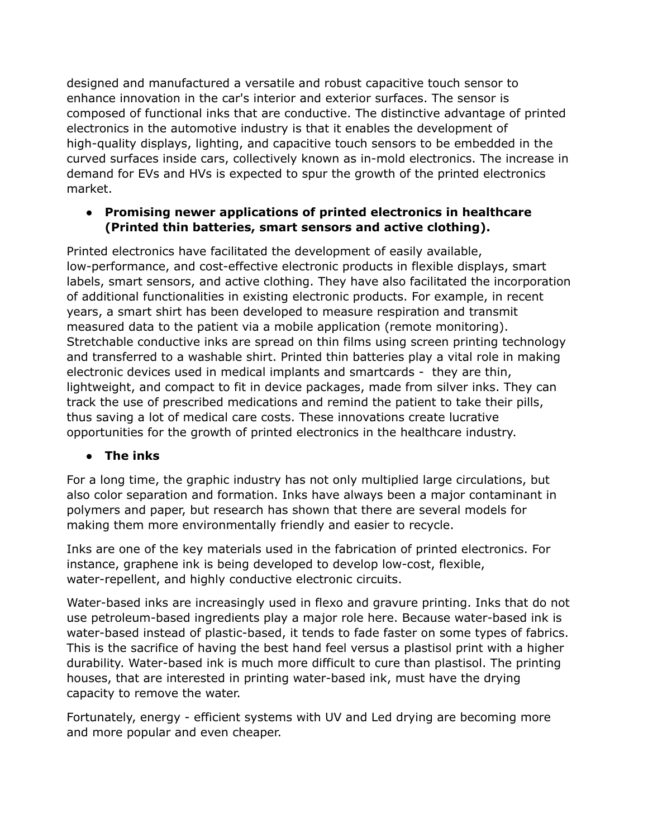designed and manufactured a versatile and robust capacitive touch sensor to enhance innovation in the car's interior and exterior surfaces. The sensor is composed of functional inks that are conductive. The distinctive advantage of printed electronics in the automotive industry is that it enables the development of high-quality displays, lighting, and capacitive touch sensors to be embedded in the curved surfaces inside cars, collectively known as in-mold electronics. The increase in demand for EVs and HVs is expected to spur the growth of the printed electronics market.

#### **● Promising newer applications of printed electronics in healthcare (Printed thin batteries, smart sensors and active clothing).**

Printed electronics have facilitated the development of easily available, low-performance, and cost-effective electronic products in flexible displays, smart labels, smart sensors, and active clothing. They have also facilitated the incorporation of additional functionalities in existing electronic products. For example, in recent years, a smart shirt has been developed to measure respiration and transmit measured data to the patient via a mobile application (remote monitoring). Stretchable conductive inks are spread on thin films using screen printing technology and transferred to a washable shirt. Printed thin batteries play a vital role in making electronic devices used in medical implants and smartcards - they are thin, lightweight, and compact to fit in device packages, made from silver inks. They can track the use of prescribed medications and remind the patient to take their pills, thus saving a lot of medical care costs. These innovations create lucrative opportunities for the growth of printed electronics in the healthcare industry.

#### **● The inks**

For a long time, the graphic industry has not only multiplied large circulations, but also color separation and formation. Inks have always been a major contaminant in polymers and paper, but research has shown that there are several models for making them more environmentally friendly and easier to recycle.

Inks are one of the key materials used in the fabrication of printed electronics. For instance, graphene ink is being developed to develop low-cost, flexible, water-repellent, and highly conductive electronic circuits.

Water-based inks are increasingly used in flexo and gravure printing. Inks that do not use petroleum-based ingredients play a major role here. Because water-based ink is water-based instead of plastic-based, it tends to fade faster on some types of fabrics. This is the sacrifice of having the best hand feel versus a plastisol print with a higher durability. Water-based ink is much more difficult to cure than plastisol. The printing houses, that are interested in printing water-based ink, must have the drying capacity to remove the water.

Fortunately, energy - efficient systems with UV and Led drying are becoming more and more popular and even cheaper.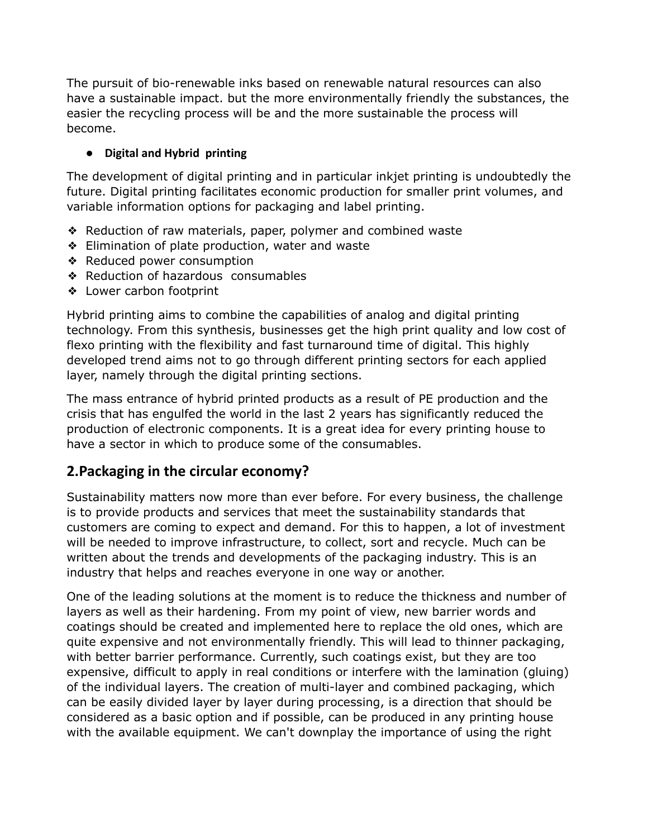The pursuit of bio-renewable inks based on renewable natural resources can also have a sustainable impact. but the more environmentally friendly the substances, the easier the recycling process will be and the more sustainable the process will become.

#### **● Digital and Hybrid printing**

The development of digital printing and in particular inkjet printing is undoubtedly the future. Digital printing facilitates economic production for smaller print volumes, and variable information options for packaging and label printing.

- ❖ Reduction of raw materials, paper, polymer and combined waste
- ❖ Elimination of plate production, water and waste
- ❖ Reduced power consumption
- ❖ Reduction of hazardous consumables
- ❖ Lower carbon footprint

Hybrid printing aims to combine the capabilities of analog and digital printing technology. From this synthesis, businesses get the high print quality and low cost of flexo printing with the flexibility and fast turnaround time of digital. This highly developed trend aims not to go through different printing sectors for each applied layer, namely through the digital printing sections.

The mass entrance of hybrid printed products as a result of PE production and the crisis that has engulfed the world in the last 2 years has significantly reduced the production of electronic components. It is a great idea for every printing house to have a sector in which to produce some of the consumables.

## **2.Packaging in the circular economy?**

Sustainability matters now more than ever before. For every business, the challenge is to provide products and services that meet the sustainability standards that customers are coming to expect and demand. For this to happen, a lot of investment will be needed to improve infrastructure, to collect, sort and recycle. Much can be written about the trends and developments of the packaging industry. This is an industry that helps and reaches everyone in one way or another.

One of the leading solutions at the moment is to reduce the thickness and number of layers as well as their hardening. From my point of view, new barrier words and coatings should be created and implemented here to replace the old ones, which are quite expensive and not environmentally friendly. This will lead to thinner packaging, with better barrier performance. Currently, such coatings exist, but they are too expensive, difficult to apply in real conditions or interfere with the lamination (gluing) of the individual layers. The creation of multi-layer and combined packaging, which can be easily divided layer by layer during processing, is a direction that should be considered as a basic option and if possible, can be produced in any printing house with the available equipment. We can't downplay the importance of using the right